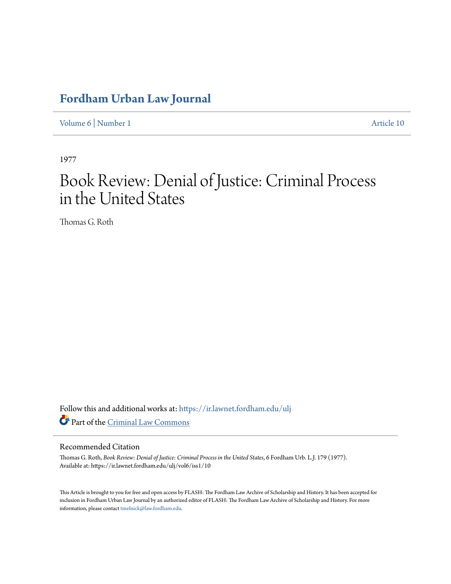### **[Fordham Urban Law Journal](https://ir.lawnet.fordham.edu/ulj?utm_source=ir.lawnet.fordham.edu%2Fulj%2Fvol6%2Fiss1%2F10&utm_medium=PDF&utm_campaign=PDFCoverPages)**

[Volume 6](https://ir.lawnet.fordham.edu/ulj/vol6?utm_source=ir.lawnet.fordham.edu%2Fulj%2Fvol6%2Fiss1%2F10&utm_medium=PDF&utm_campaign=PDFCoverPages) | [Number 1](https://ir.lawnet.fordham.edu/ulj/vol6/iss1?utm_source=ir.lawnet.fordham.edu%2Fulj%2Fvol6%2Fiss1%2F10&utm_medium=PDF&utm_campaign=PDFCoverPages) [Article 10](https://ir.lawnet.fordham.edu/ulj/vol6/iss1/10?utm_source=ir.lawnet.fordham.edu%2Fulj%2Fvol6%2Fiss1%2F10&utm_medium=PDF&utm_campaign=PDFCoverPages)

1977

# Book Review: Denial of Justice: Criminal Process in the United States

Thomas G. Roth

Follow this and additional works at: [https://ir.lawnet.fordham.edu/ulj](https://ir.lawnet.fordham.edu/ulj?utm_source=ir.lawnet.fordham.edu%2Fulj%2Fvol6%2Fiss1%2F10&utm_medium=PDF&utm_campaign=PDFCoverPages) Part of the [Criminal Law Commons](http://network.bepress.com/hgg/discipline/912?utm_source=ir.lawnet.fordham.edu%2Fulj%2Fvol6%2Fiss1%2F10&utm_medium=PDF&utm_campaign=PDFCoverPages)

#### Recommended Citation

Thomas G. Roth, *Book Review: Denial of Justice: Criminal Process in the United States*, 6 Fordham Urb. L.J. 179 (1977). Available at: https://ir.lawnet.fordham.edu/ulj/vol6/iss1/10

This Article is brought to you for free and open access by FLASH: The Fordham Law Archive of Scholarship and History. It has been accepted for inclusion in Fordham Urban Law Journal by an authorized editor of FLASH: The Fordham Law Archive of Scholarship and History. For more information, please contact [tmelnick@law.fordham.edu](mailto:tmelnick@law.fordham.edu).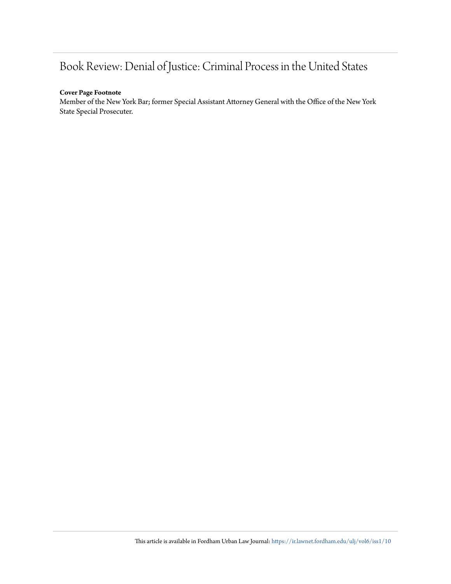## Book Review: Denial of Justice: Criminal Process in the United States

#### **Cover Page Footnote**

Member of the New York Bar; former Special Assistant Attorney General with the Office of the New York State Special Prosecuter.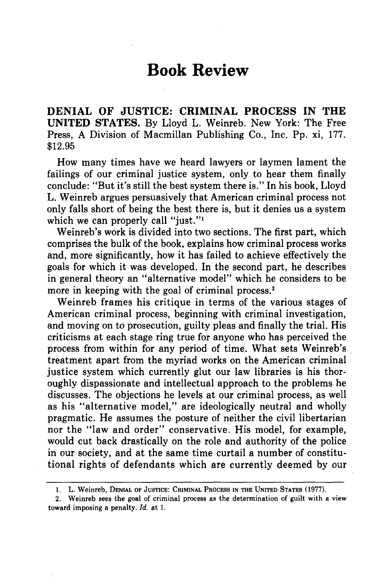### **Book Review**

**DENIAL OF JUSTICE: CRIMINAL PROCESS IN THE UNITED STATES. By** Lloyd L. Weinreb. New York: The Free Press, **A** Division of Macmillan Publishing **Co., Inc. Pp. xi, 177.** \$12.95

How many times have we heard lawyers or laymen lament the failings of our criminal justice system, only to hear them finally conclude: "But it's still the best system there is." In his book, Lloyd L. Weinreb argues persuasively that American criminal process not only falls short of being the best there is, but it denies us a system which we can properly call "just."<sup>1</sup>

Weinreb's work is divided into two sections. The first part, which comprises the bulk of the book, explains how criminal process works and, more significantly, how it has failed to achieve effectively the goals for which it was developed. In the second part, he describes in general theory an "alternative model" which he considers to be more in keeping with the goal of criminal process.<sup>2</sup>

Weinreb frames his critique in terms of the various stages of American criminal process, beginning with criminal investigation, and moving on to prosecution, guilty pleas and finally the trial. His criticisms at each stage ring true for anyone who has perceived the process from within for any period of time. What sets Weinreb's treatment apart from the myriad works on the American criminal justice system which currently glut our law libraries is his thoroughly dispassionate and intellectual approach to the problems he discusses. The objections he levels at our criminal process, as well as his "alternative model," are ideologically neutral and wholly pragmatic. He assumes the posture of neither the civil libertarian nor the "law and order" conservative. His model, for example, would cut back drastically on the role and authority of the police in our society, and at the same time curtail a number of constitutional rights of defendants which are currently deemed by our

<sup>1.</sup> L. Weinreb, **DENIAL OF JUSTICE: CRIMINAL PROCESS IN THE UNITED STATES** (1977).

<sup>2.</sup> Weinreb sees the goal of criminal process as the determination of guilt with a view toward imposing a penalty. *Id.* **at 1.**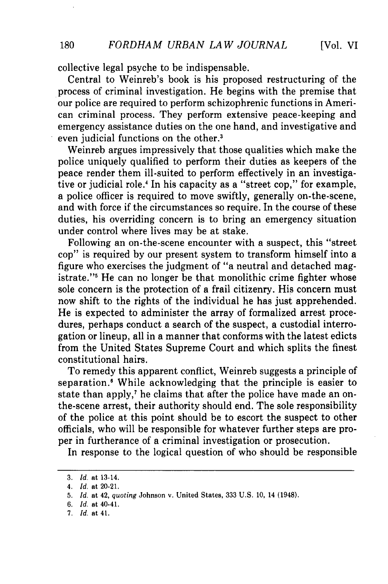collective legal psyche to be indispensable.

Central to Weinreb's book is his proposed restructuring of the process of criminal investigation. He begins with the premise that our police are required to perform schizophrenic functions in American criminal process. They perform extensive peace-keeping and emergency assistance duties on the one hand, and investigative and even judicial functions on the other.'

Weinreb argues impressively that those qualities which make the police uniquely qualified to perform their duties as keepers of the peace render them ill-suited to perform effectively in an investigative or judicial role.4 In his capacity as a "street cop," for example, a police officer is required to move swiftly, generally on-the-scene, and with force if the circumstances so require. In the course of these duties, his overriding concern is to bring an emergency situation under control where lives may be at stake.

Following an on-the-scene encounter with a suspect, this "street cop" is required by our present system to transform himself into a figure who exercises the judgment of "a neutral and detached magistrate."5 He can no longer be that monolithic crime fighter whose sole concern is the protection of a frail citizenry. His concern must now shift to the rights of the individual he has just apprehended. He is expected to administer the array of formalized arrest procedures, perhaps conduct a search of the suspect, a custodial interrogation or lineup, all in a manner that conforms with the latest edicts from the United States Supreme Court and which splits the finest constitutional hairs.

To remedy this apparent conflict, Weinreb suggests a principle of separation.' While acknowledging that the principle is easier to state than apply,<sup>7</sup> he claims that after the police have made an onthe-scene arrest, their authority should end. The sole responsibility of the police at this point should be to escort the suspect to other officials, who will be responsible for whatever further steps are proper in furtherance of a criminal investigation or prosecution.

In response to the logical question of who should be responsible

**<sup>3.</sup> Id.** at 13-14.

<sup>4.</sup> Id. at 20-21.

<sup>5.</sup> *Id.* at 42, *quoting* Johnson v. United States, 333 U.S. 10, 14 (1948).

*<sup>6.</sup> Id.* at 40-41.

<sup>7.</sup> Id. at 41.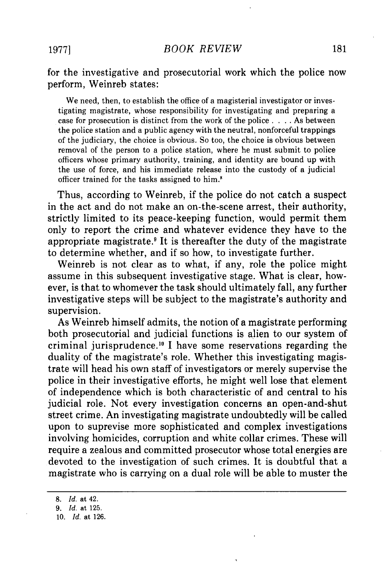for the investigative and prosecutorial work which the police now perform, Weinreb states:

We need, then, to establish the office of a magisterial investigator or investigating magistrate, whose responsibility for investigating and preparing a case for prosecution is distinct from the work of the police . **. .** . As between the police station and a public agency with the neutral, nonforceful trappings of the judiciary, the choice is obvious. So too, the choice is obvious between removal of the person to a police station, where he must submit to police officers whose primary authority, training, and identity are bound up with the use of force, and his immediate release into the custody of a judicial officer trained for the tasks assigned to him.'

Thus, according to Weinreb, if the police do not catch a suspect in the act and do not make an on-the-scene arrest, their authority, strictly limited to its peace-keeping function, would permit them only to report the crime and whatever evidence they have to the appropriate magistrate.' It is thereafter the duty of the magistrate to determine whether, and if so how, to investigate further.

Weinreb is not clear as to what, if any, role the police might assume in this subsequent investigative stage. What is clear, however, is that to whomever the task should ultimately fall, any further investigative steps will be subject to the magistrate's authority and supervision.

As Weinreb himself admits, the notion of a magistrate performing both prosecutorial and judicial functions is alien to our system of criminal jurisprudence.'" I have some reservations regarding the duality of the magistrate's role. Whether this investigating magistrate will head his own staff of investigators or merely supervise the police in their investigative efforts, he might well lose that element of independence which is both characteristic of and central to his judicial role. Not every investigation concerns an open-and-shut street crime. An investigating magistrate undoubtedly will be called upon to suprevise more sophisticated and complex investigations involving homicides, corruption and white collar crimes. These will require a zealous and committed prosecutor whose total energies are devoted to the investigation of such crimes. It is doubtful that a magistrate who is carrying on a dual role will be able to muster the

**<sup>8.</sup>** *Id.* at 42.

*<sup>9.</sup> Id.* at **125.**

**<sup>10.</sup>** *Id.* at **126.**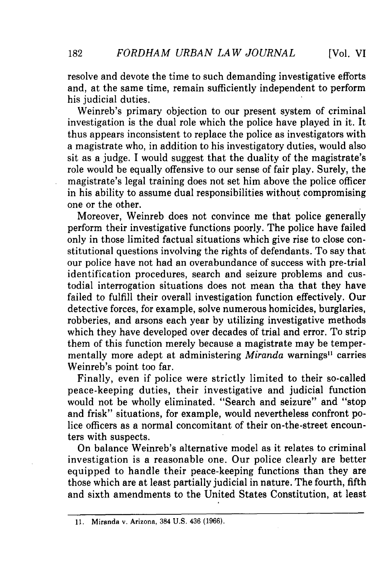resolve and devote the time to such demanding investigative efforts and, at the same time, remain sufficiently independent to perform his judicial duties.

**[Vol.** VI

Weinreb's primary objection to our present system of criminal investigation is the dual role which the police have played in it. It thus appears inconsistent to replace the police as investigators with a magistrate who, in addition to his investigatory duties, would also sit as a judge. I would suggest that the duality of the magistrate's role would be equally offensive to our sense of fair play. Surely, the magistrate's legal training does not set him above the police officer in his ability to assume dual responsibilities without compromising one or the other.

Moreover, Weinreb does not convince me that police generally perform their investigative functions poorly. The police have failed only in those limited factual situations which give rise to close constitutional questions involving the rights of defendants. To say that our police have not had an overabundance of success with pre-trial identification procedures, search and seizure problems and custodial interrogation situations does not mean tha that they have failed to fulfill their overall investigation function effectively. Our detective forces, for example, solve numerous homicides, burglaries, robberies, and arsons each year by utilizing investigative methods which they have developed over decades of trial and error. To strip them of this function merely because a magistrate may be tempermentally more adept at administering *Miranda* warnings" carries Weinreb's point too far.

Finally, even if police were strictly limited to their so-called peace-keeping duties, their investigative and judicial function would not be wholly eliminated. "Search and seizure" and "stop and frisk" situations, for example, would nevertheless confront police officers as a normal concomitant of their on-the-street encounters with suspects.

On balance Weinreb's alternative model as it relates to criminal investigation is a reasonable one. Our police clearly are better equipped to handle their peace-keeping functions than they are those which are at least partially judicial in nature. The fourth, fifth and sixth amendments to the United States Constitution, at least

182

<sup>11.</sup> Miranda v. Arizona, 384 U.S. 436 (1966).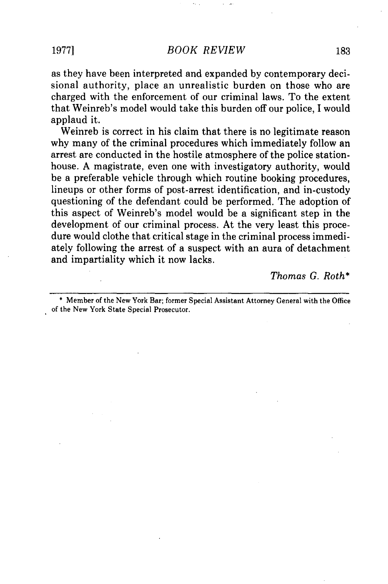as they have been interpreted and expanded by contemporary decisional authority, place an unrealistic burden on those who are charged with the enforcement of our criminal laws. To the extent that Weinreb's model would take this burden off our police, I would applaud it.

Weinreb is correct in his claim that there is no legitimate reason why many of the criminal procedures which immediately follow an arrest are conducted in the hostile atmosphere of the police stationhouse. A magistrate, even one with investigatory authority, would be a preferable vehicle through which routine booking procedures, lineups or other forms of post-arrest identification, and in-custody questioning of the defendant could be performed. The adoption of this aspect of Weinreb's model would be a significant step in the development of our criminal process. At the very least this procedure would clothe that critical stage in the criminal process immediately following the arrest of a suspect with an aura of detachment and impartiality which it now lacks.

*Thomas G. Roth\**

\* Member of the New York Bar; former Special Assistant Attorney General with the Office of the New York State Special Prosecutor.